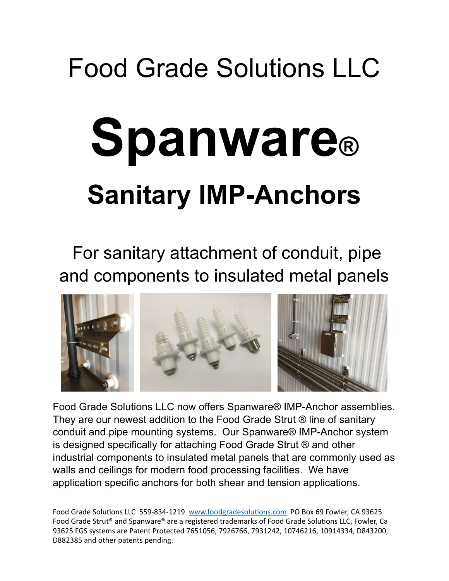### Food Grade Solutions LLC

# **Spanware® Sanitary IMP-Anchors**

For sanitary attachment of conduit, pipe and components to insulated metal panels



Food Grade Solutions LLC now offers Spanware® IMP-Anchor assemblies. They are our newest addition to the Food Grade Strut ® line of sanitary conduit and pipe mounting systems. Our Spanware® IMP-Anchor system is designed specifically for attaching Food Grade Strut ® and other industrial components to insulated metal panels that are commonly used as walls and ceilings for modern food processing facilities. We have application specific anchors for both shear and tension applications.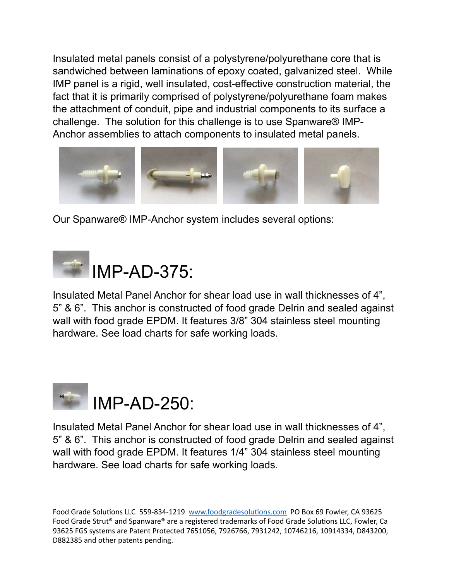Insulated metal panels consist of a polystyrene/polyurethane core that is sandwiched between laminations of epoxy coated, galvanized steel. While IMP panel is a rigid, well insulated, cost-effective construction material, the fact that it is primarily comprised of polystyrene/polyurethane foam makes the attachment of conduit, pipe and industrial components to its surface a challenge. The solution for this challenge is to use Spanware® IMP-Anchor assemblies to attach components to insulated metal panels.



Our Spanware® IMP-Anchor system includes several options:



Insulated Metal Panel Anchor for shear load use in wall thicknesses of 4", 5" & 6". This anchor is constructed of food grade Delrin and sealed against wall with food grade EPDM. It features 3/8" 304 stainless steel mounting hardware. See load charts for safe working loads.



Insulated Metal Panel Anchor for shear load use in wall thicknesses of 4", 5" & 6". This anchor is constructed of food grade Delrin and sealed against wall with food grade EPDM. It features 1/4" 304 stainless steel mounting hardware. See load charts for safe working loads.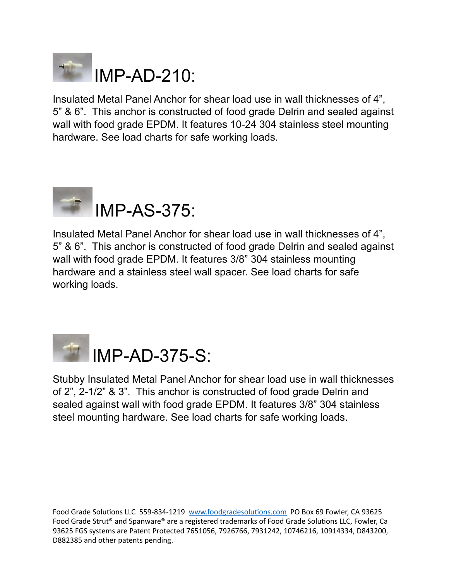

Insulated Metal Panel Anchor for shear load use in wall thicknesses of 4", 5" & 6". This anchor is constructed of food grade Delrin and sealed against wall with food grade EPDM. It features 10-24 304 stainless steel mounting hardware. See load charts for safe working loads.



Insulated Metal Panel Anchor for shear load use in wall thicknesses of 4", 5" & 6". This anchor is constructed of food grade Delrin and sealed against wall with food grade EPDM. It features 3/8" 304 stainless mounting hardware and a stainless steel wall spacer. See load charts for safe working loads.



Stubby Insulated Metal Panel Anchor for shear load use in wall thicknesses of 2", 2-1/2" & 3". This anchor is constructed of food grade Delrin and sealed against wall with food grade EPDM. It features 3/8" 304 stainless steel mounting hardware. See load charts for safe working loads.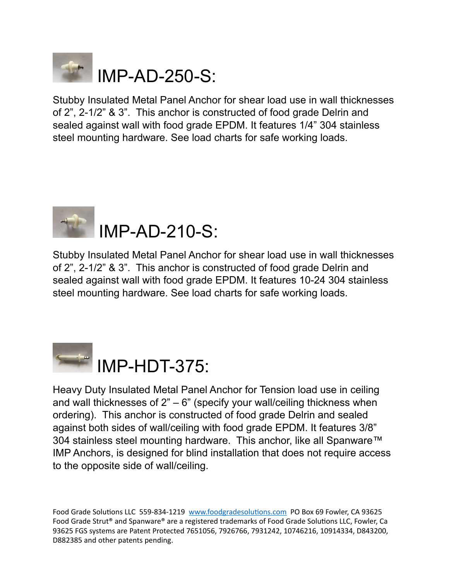

Stubby Insulated Metal Panel Anchor for shear load use in wall thicknesses of 2", 2-1/2" & 3". This anchor is constructed of food grade Delrin and sealed against wall with food grade EPDM. It features 1/4" 304 stainless steel mounting hardware. See load charts for safe working loads.



Stubby Insulated Metal Panel Anchor for shear load use in wall thicknesses of 2", 2-1/2" & 3". This anchor is constructed of food grade Delrin and sealed against wall with food grade EPDM. It features 10-24 304 stainless steel mounting hardware. See load charts for safe working loads.



### IMP-HDT-375:

Heavy Duty Insulated Metal Panel Anchor for Tension load use in ceiling and wall thicknesses of  $2" - 6"$  (specify your wall/ceiling thickness when ordering). This anchor is constructed of food grade Delrin and sealed against both sides of wall/ceiling with food grade EPDM. It features 3/8" 304 stainless steel mounting hardware. This anchor, like all Spanware™ IMP Anchors, is designed for blind installation that does not require access to the opposite side of wall/ceiling.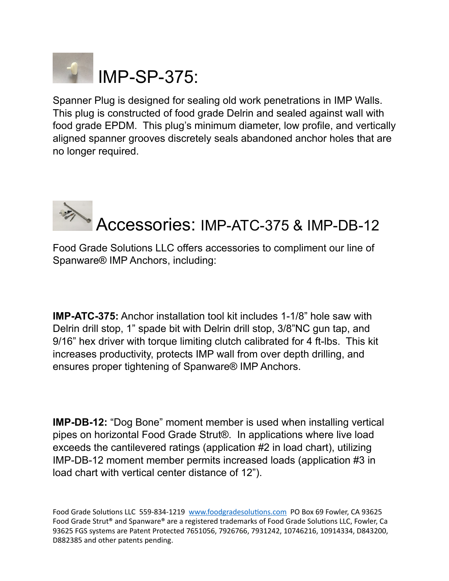

Spanner Plug is designed for sealing old work penetrations in IMP Walls. This plug is constructed of food grade Delrin and sealed against wall with food grade EPDM. This plug's minimum diameter, low profile, and vertically aligned spanner grooves discretely seals abandoned anchor holes that are no longer required.

## Accessories: IMP-ATC-375 & IMP-DB-12

Food Grade Solutions LLC offers accessories to compliment our line of Spanware® IMP Anchors, including:

**IMP-ATC-375:** Anchor installation tool kit includes 1-1/8" hole saw with Delrin drill stop, 1" spade bit with Delrin drill stop, 3/8"NC gun tap, and 9/16" hex driver with torque limiting clutch calibrated for 4 ft-lbs. This kit increases productivity, protects IMP wall from over depth drilling, and ensures proper tightening of Spanware® IMP Anchors.

**IMP-DB-12:** "Dog Bone" moment member is used when installing vertical pipes on horizontal Food Grade Strut®. In applications where live load exceeds the cantilevered ratings (application #2 in load chart), utilizing IMP-DB-12 moment member permits increased loads (application #3 in load chart with vertical center distance of 12").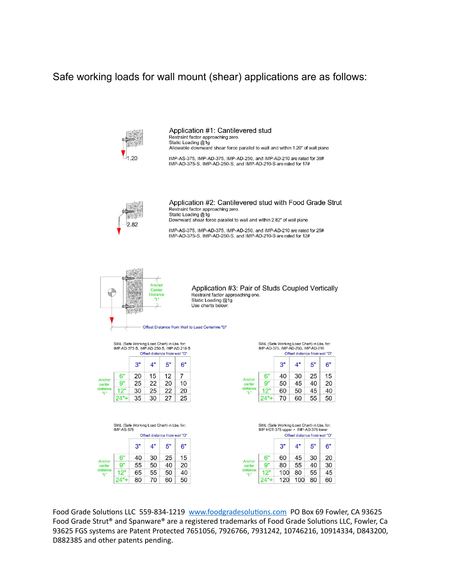#### Safe working loads for wall mount (shear) applications are as follows:



Application #1: Cantilevered stud Restraint factor approaching zero. Static Loading @1g Allowable downward shear force parallel to wall and within 1.20" of wall plane

IMP-AS-375, IMP-AD-375, IMP-AD-250, and IMP-AD-210 are rated for 35#<br>IMP-AD-375-S, IMP-AD-250-S, and IMP-AD-210-S are rated for 17#



Application #2: Cantilevered stud with Food Grade Strut Restraint factor approaching zero. Static Loading @1g Downward shear force parallel to wall and within 2.82" of wall plane

IMP-AS-375, IMP-AD-375, IMP-AD-250, and IMP-AD-210 are rated for 25# IMP-AD-375-S, IMP-AD-250-S, and IMP-AD-210-S are rated for 12#



Application #3: Pair of Studs Coupled Vertically Restraint factor approaching one. Static Loading @1g Use charts below:

SWL (Safe Working Load Chart) in Lbs. for:<br>IMP-AD-375-S, IMP-AD-250-S, IMP-AD-210-S

|                              |     | Offiset distance from wall D |    |    |    |  |
|------------------------------|-----|------------------------------|----|----|----|--|
|                              |     | 3"                           | 4" | 5" | 6" |  |
| Anchor<br>center<br>distance | 6"  | 20                           | 15 | 12 |    |  |
|                              | Q"  | 25                           | 22 | 20 | 10 |  |
|                              | 12" | 30                           | 25 | 22 | 20 |  |
|                              |     | 35                           | 30 | 27 | 25 |  |

|                              | SWL (Safe Working Load Chart) in Lbs. for:<br><b>IMP-AS-375</b> |                               |    |    |    |  |  |  |
|------------------------------|-----------------------------------------------------------------|-------------------------------|----|----|----|--|--|--|
|                              |                                                                 | Offset distance from wall "D" |    |    |    |  |  |  |
|                              |                                                                 | 3"                            | 4" | 5" | 6" |  |  |  |
| Anchor<br>center<br>distance | 6"                                                              | 40                            | 30 | 25 | 15 |  |  |  |
|                              | O۳                                                              | 55                            | 50 | 40 | 20 |  |  |  |
|                              | 12"                                                             | 65                            | 55 | 50 | 40 |  |  |  |
|                              |                                                                 | 80                            | 70 | 60 | 50 |  |  |  |

|                              | SWL (Safe Working Load Chart) in Lbs. for:<br>IMP-AD-375, IMP-AD-250, IMP-AD-210 |                               |    |    |    |  |  |
|------------------------------|----------------------------------------------------------------------------------|-------------------------------|----|----|----|--|--|
|                              |                                                                                  | Offset distance from wall "D" |    |    |    |  |  |
|                              |                                                                                  | 3"                            | 4" | 5" | 6" |  |  |
| Anchor<br>center<br>distance | 6"                                                                               | 40                            | 30 | 25 | 15 |  |  |
|                              |                                                                                  | 50                            | 45 | 40 | 20 |  |  |
|                              | 12"                                                                              | 60                            | 50 | 45 | 40 |  |  |
|                              | ÷                                                                                | 70                            | 60 | 55 | 50 |  |  |

SWL (Safe Working Load Chart) in Lbs. for:<br>IMP-HDT-375 upper + IMP-AD-375 lower Offset distance from wall "D"  $4"$  $6"$  $3"$  $5"$ 30  $6"$ 20 60 45  $9"$ 80 55 40 30  $12"$ 100 80 55 45  $24"+$ 120 100 80 60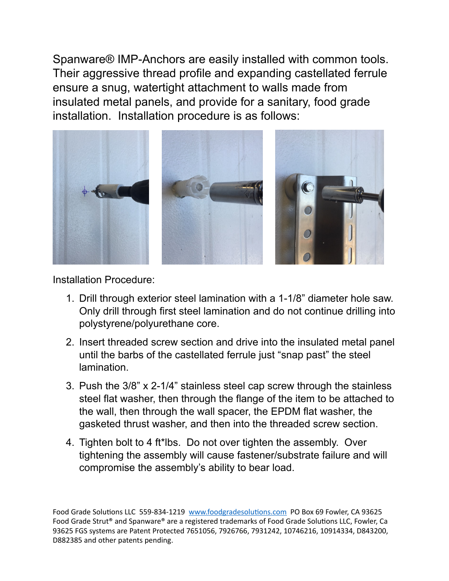Spanware® IMP-Anchors are easily installed with common tools. Their aggressive thread profile and expanding castellated ferrule ensure a snug, watertight attachment to walls made from insulated metal panels, and provide for a sanitary, food grade installation. Installation procedure is as follows:



Installation Procedure:

- 1. Drill through exterior steel lamination with a 1-1/8" diameter hole saw. Only drill through first steel lamination and do not continue drilling into polystyrene/polyurethane core.
- 2. Insert threaded screw section and drive into the insulated metal panel until the barbs of the castellated ferrule just "snap past" the steel lamination.
- 3. Push the 3/8" x 2-1/4" stainless steel cap screw through the stainless steel flat washer, then through the flange of the item to be attached to the wall, then through the wall spacer, the EPDM flat washer, the gasketed thrust washer, and then into the threaded screw section.
- 4. Tighten bolt to 4 ft\*lbs. Do not over tighten the assembly. Over tightening the assembly will cause fastener/substrate failure and will compromise the assembly's ability to bear load.